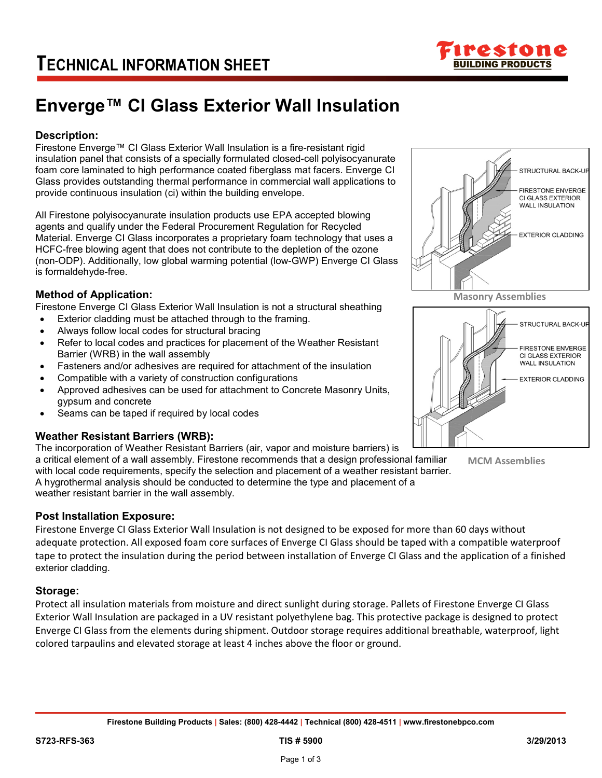

# **Enverge™ CI Glass Exterior Wall Insulation**

## **Description:**

Firestone Enverge™ CI Glass Exterior Wall Insulation is a fire-resistant rigid insulation panel that consists of a specially formulated closed-cell polyisocyanurate foam core laminated to high performance coated fiberglass mat facers. Enverge CI Glass provides outstanding thermal performance in commercial wall applications to provide continuous insulation (ci) within the building envelope.

All Firestone polyisocyanurate insulation products use EPA accepted blowing agents and qualify under the Federal Procurement Regulation for Recycled Material. Enverge CI Glass incorporates a proprietary foam technology that uses a HCFC-free blowing agent that does not contribute to the depletion of the ozone (non-ODP). Additionally, low global warming potential (low-GWP) Enverge CI Glass is formaldehyde-free.

## **Method of Application:**

Firestone Enverge CI Glass Exterior Wall Insulation is not a structural sheathing

- Exterior cladding must be attached through to the framing.
- Always follow local codes for structural bracing
- Refer to local codes and practices for placement of the Weather Resistant Barrier (WRB) in the wall assembly
- Fasteners and/or adhesives are required for attachment of the insulation
- Compatible with a variety of construction configurations
- Approved adhesives can be used for attachment to Concrete Masonry Units, gypsum and concrete
- Seams can be taped if required by local codes

### **Weather Resistant Barriers (WRB):**

The incorporation of Weather Resistant Barriers (air, vapor and moisture barriers) is a critical element of a wall assembly. Firestone recommends that a design professional familiar

with local code requirements, specify the selection and placement of a weather resistant barrier. A hygrothermal analysis should be conducted to determine the type and placement of a weather resistant barrier in the wall assembly.

#### **Post Installation Exposure:**

Firestone Enverge CI Glass Exterior Wall Insulation is not designed to be exposed for more than 60 days without adequate protection. All exposed foam core surfaces of Enverge CI Glass should be taped with a compatible waterproof tape to protect the insulation during the period between installation of Enverge CI Glass and the application of a finished exterior cladding.

### **Storage:**

Protect all insulation materials from moisture and direct sunlight during storage. Pallets of Firestone Enverge CI Glass Exterior Wall Insulation are packaged in a UV resistant polyethylene bag. This protective package is designed to protect Enverge CI Glass from the elements during shipment. Outdoor storage requires additional breathable, waterproof, light colored tarpaulins and elevated storage at least 4 inches above the floor or ground.





**MCM Assemblies**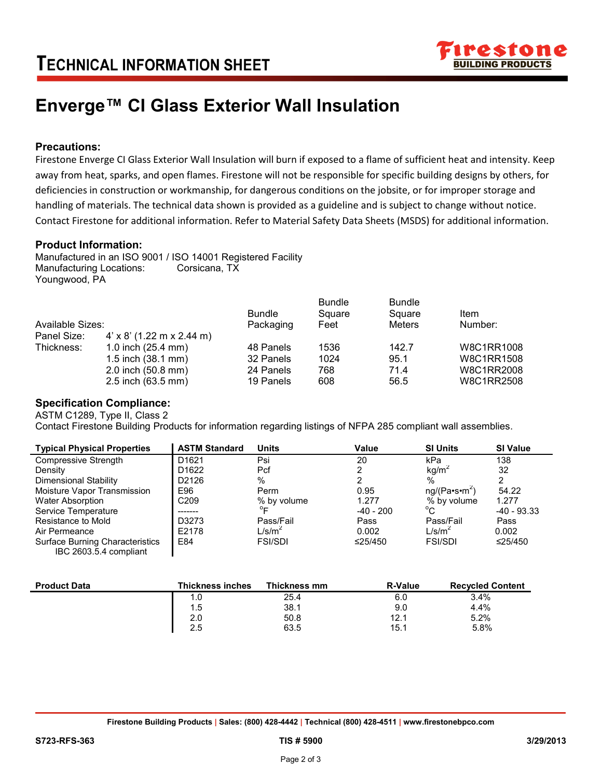

# **Enverge™ CI Glass Exterior Wall Insulation**

### **Precautions:**

Firestone Enverge CI Glass Exterior Wall Insulation will burn if exposed to a flame of sufficient heat and intensity. Keep away from heat, sparks, and open flames. Firestone will not be responsible for specific building designs by others, for deficiencies in construction or workmanship, for dangerous conditions on the jobsite, or for improper storage and handling of materials. The technical data shown is provided as a guideline and is subject to change without notice. Contact Firestone for additional information. Refer to Material Safety Data Sheets (MSDS) for additional information.

#### **Product Information:**

Manufactured in an ISO 9001 / ISO 14001 Registered Facility Manufacturing Locations: Corsicana, TX Youngwood, PA

|                  |                                  | <b>Bundle</b> | <b>Bundle</b><br>Square | <b>Bundle</b><br>Square | Item       |
|------------------|----------------------------------|---------------|-------------------------|-------------------------|------------|
| Available Sizes: |                                  | Packaging     | Feet                    | Meters                  | Number:    |
| Panel Size:      | $4' \times 8'$ (1.22 m x 2.44 m) |               |                         |                         |            |
| Thickness:       | 1.0 inch $(25.4 \text{ mm})$     | 48 Panels     | 1536                    | 142.7                   | W8C1RR1008 |
|                  | 1.5 inch $(38.1 \text{ mm})$     | 32 Panels     | 1024                    | 95.1                    | W8C1RR1508 |
|                  | 2.0 inch (50.8 mm)               | 24 Panels     | 768                     | 71.4                    | W8C1RR2008 |
|                  | 2.5 inch (63.5 mm)               | 19 Panels     | 608                     | 56.5                    | W8C1RR2508 |

#### **Specification Compliance:**

ASTM C1289, Type II, Class 2

Contact Firestone Building Products for information regarding listings of NFPA 285 compliant wall assemblies.

| <b>Typical Physical Properties</b>     | <b>ASTM Standard</b>    | <b>Units</b>       | Value          | <b>SI Units</b>           | <b>SI Value</b> |
|----------------------------------------|-------------------------|--------------------|----------------|---------------------------|-----------------|
| Compressive Strength                   | D <sub>1621</sub>       | Psi                | 20             | kPa                       | 138             |
| Density                                | D <sub>1622</sub>       | Pcf                |                | kg/m <sup>2</sup>         | 32              |
| Dimensional Stability                  | D2126                   | %                  |                | $\%$                      | 2               |
| Moisture Vapor Transmission            | E96                     | Perm               | 0.95           | ng/(Pa·s·m <sup>2</sup> ) | 54.22           |
| <b>Water Absorption</b>                | C <sub>209</sub>        | % by volume        | 1.277          | % by volume               | 1.277           |
| Service Temperature                    |                         | $^{\circ}$ F       | $-40 - 200$    | $^{\circ}$ C              | $-40 - 93.33$   |
| Resistance to Mold                     | D3273                   | Pass/Fail          | Pass           | Pass/Fail                 | Pass            |
| Air Permeance                          | E2178                   | L/s/m <sup>2</sup> | 0.002          | L/s/m <sup>2</sup>        | 0.002           |
| <b>Surface Burning Characteristics</b> | E84                     | <b>FSI/SDI</b>     | $\leq$ 25/450  | <b>FSI/SDI</b>            | ≤25/450         |
| IBC 2603.5.4 compliant                 |                         |                    |                |                           |                 |
|                                        |                         |                    |                |                           |                 |
| <b>Product Data</b>                    | <b>Thickness inches</b> | Thickness mm       | <b>R-Value</b> | <b>Recycled Content</b>   |                 |

| <b>Product Data</b> | Thickness inches | Thickness mm | <b>R-Value</b> | <b>Recvcled Content</b> |
|---------------------|------------------|--------------|----------------|-------------------------|
|                     | 1.0              | 25.4         | 6.0            | 3.4%                    |
|                     | 1.5              | 38.1         | 9.0            | 4.4%                    |
|                     | 2.0              | 50.8         | 12.1           | 5.2%                    |
|                     | 2.5              | 63.5         | 15.1           | 5.8%                    |